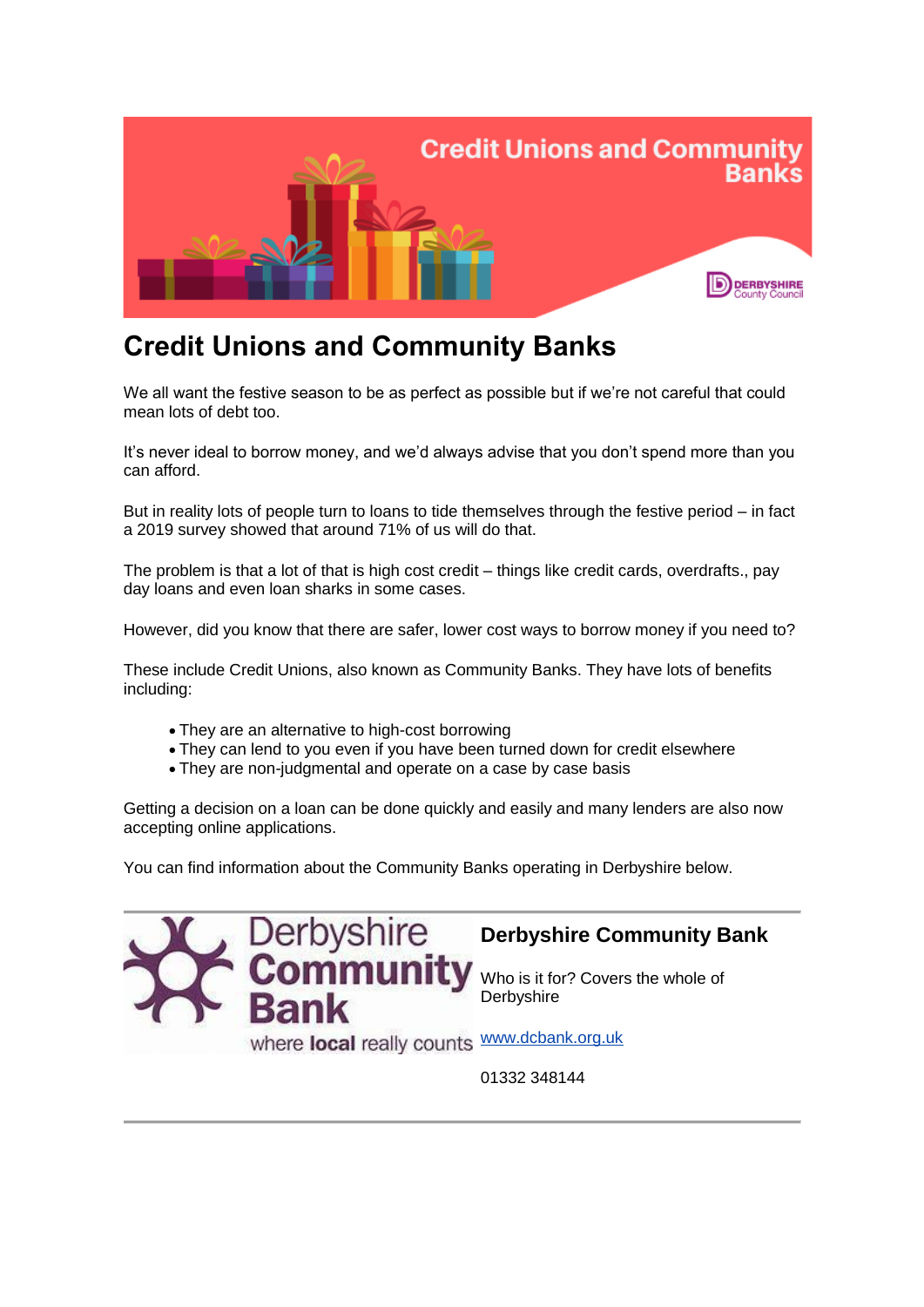

# **Credit Unions and Community Banks**

We all want the festive season to be as perfect as possible but if we're not careful that could mean lots of debt too.

It's never ideal to borrow money, and we'd always advise that you don't spend more than you can afford.

But in reality lots of people turn to loans to tide themselves through the festive period – in fact a 2019 survey showed that around 71% of us will do that.

The problem is that a lot of that is high cost credit – things like credit cards, overdrafts., pay day loans and even loan sharks in some cases.

However, did you know that there are safer, lower cost ways to borrow money if you need to?

These include Credit Unions, also known as Community Banks. They have lots of benefits including:

- They are an alternative to high-cost borrowing
- They can lend to you even if you have been turned down for credit elsewhere
- They are non-judgmental and operate on a case by case basis

Getting a decision on a loan can be done quickly and easily and many lenders are also now accepting online applications.

You can find information about the Community Banks operating in Derbyshire below.



01332 348144